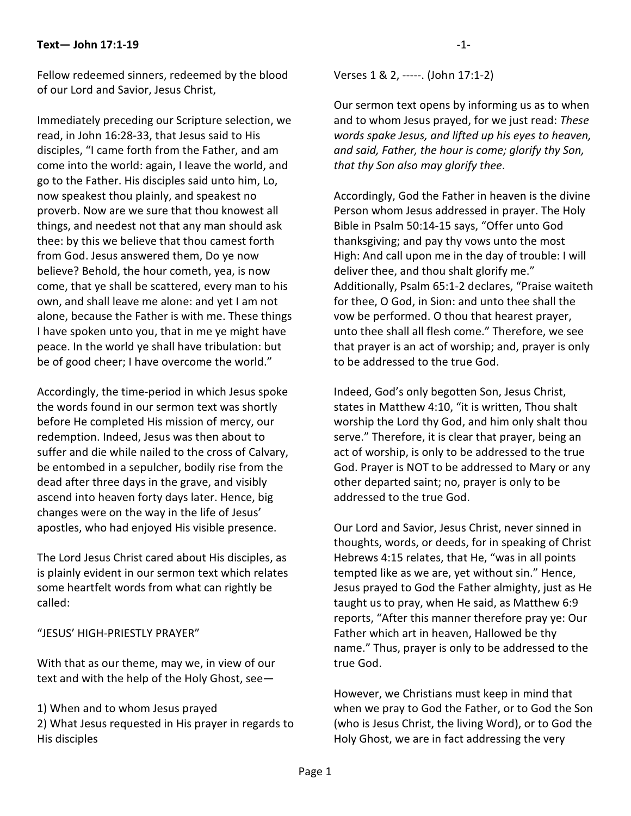## **Text— John 17:1-19**

Fellow redeemed sinners, redeemed by the blood of our Lord and Savior, Jesus Christ,

Immediately preceding our Scripture selection, we read, in John 16:28-33, that Jesus said to His disciples, "I came forth from the Father, and am come into the world: again, I leave the world, and go to the Father. His disciples said unto him, Lo, now speakest thou plainly, and speakest no proverb. Now are we sure that thou knowest all things, and needest not that any man should ask thee: by this we believe that thou camest forth from God. Jesus answered them, Do ye now believe? Behold, the hour cometh, yea, is now come, that ye shall be scattered, every man to his own, and shall leave me alone: and yet I am not alone, because the Father is with me. These things I have spoken unto you, that in me ye might have peace. In the world ye shall have tribulation: but be of good cheer; I have overcome the world."

Accordingly, the time-period in which Jesus spoke the words found in our sermon text was shortly before He completed His mission of mercy, our redemption. Indeed, Jesus was then about to suffer and die while nailed to the cross of Calvary, be entombed in a sepulcher, bodily rise from the dead after three days in the grave, and visibly ascend into heaven forty days later. Hence, big changes were on the way in the life of Jesus' apostles, who had enjoyed His visible presence.

The Lord Jesus Christ cared about His disciples, as is plainly evident in our sermon text which relates some heartfelt words from what can rightly be called:

## "JESUS' HIGH-PRIESTLY PRAYER"

With that as our theme, may we, in view of our text and with the help of the Holy Ghost, see—

1) When and to whom Jesus prayed

2) What Jesus requested in His prayer in regards to His disciples

Verses 1 & 2, -----. (John 17:1-2)

Our sermon text opens by informing us as to when and to whom Jesus prayed, for we just read: *These words spake Jesus, and lifted up his eyes to heaven, and said, Father, the hour is come; glorify thy Son, that thy Son also may glorify thee*.

Accordingly, God the Father in heaven is the divine Person whom Jesus addressed in prayer. The Holy Bible in Psalm 50:14-15 says, "Offer unto God thanksgiving; and pay thy vows unto the most High: And call upon me in the day of trouble: I will deliver thee, and thou shalt glorify me." Additionally, Psalm 65:1-2 declares, "Praise waiteth for thee, O God, in Sion: and unto thee shall the vow be performed. O thou that hearest prayer, unto thee shall all flesh come." Therefore, we see that prayer is an act of worship; and, prayer is only to be addressed to the true God.

Indeed, God's only begotten Son, Jesus Christ, states in Matthew 4:10, "it is written, Thou shalt worship the Lord thy God, and him only shalt thou serve." Therefore, it is clear that prayer, being an act of worship, is only to be addressed to the true God. Prayer is NOT to be addressed to Mary or any other departed saint; no, prayer is only to be addressed to the true God.

Our Lord and Savior, Jesus Christ, never sinned in thoughts, words, or deeds, for in speaking of Christ Hebrews 4:15 relates, that He, "was in all points tempted like as we are, yet without sin." Hence, Jesus prayed to God the Father almighty, just as He taught us to pray, when He said, as Matthew 6:9 reports, "After this manner therefore pray ye: Our Father which art in heaven, Hallowed be thy name." Thus, prayer is only to be addressed to the true God.

However, we Christians must keep in mind that when we pray to God the Father, or to God the Son (who is Jesus Christ, the living Word), or to God the Holy Ghost, we are in fact addressing the very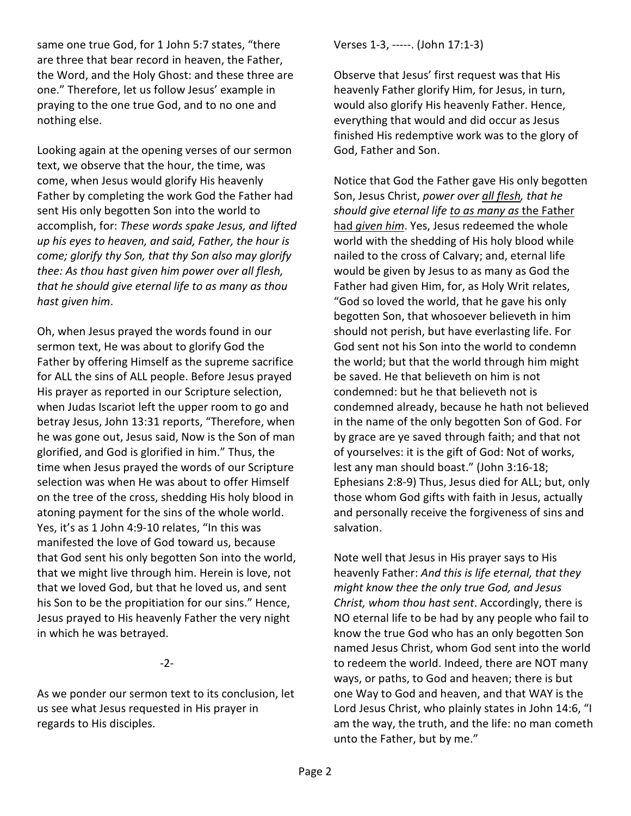same one true God, for 1 John 5:7 states, "there are three that bear record in heaven, the Father, the Word, and the Holy Ghost: and these three are one." Therefore, let us follow Jesus' example in praying to the one true God, and to no one and nothing else.

Looking again at the opening verses of our sermon text, we observe that the hour, the time, was come, when Jesus would glorify His heavenly Father by completing the work God the Father had sent His only begotten Son into the world to accomplish, for: *These words spake Jesus, and lifted up his eyes to heaven, and said, Father, the hour is come; glorify thy Son, that thy Son also may glorify thee: As thou hast given him power over all flesh, that he should give eternal life to as many as thou hast given him*.

Oh, when Jesus prayed the words found in our sermon text, He was about to glorify God the Father by offering Himself as the supreme sacrifice for ALL the sins of ALL people. Before Jesus prayed His prayer as reported in our Scripture selection, when Judas Iscariot left the upper room to go and betray Jesus, John 13:31 reports, "Therefore, when he was gone out, Jesus said, Now is the Son of man glorified, and God is glorified in him." Thus, the time when Jesus prayed the words of our Scripture selection was when He was about to offer Himself on the tree of the cross, shedding His holy blood in atoning payment for the sins of the whole world. Yes, it's as 1 John 4:9-10 relates, "In this was manifested the love of God toward us, because that God sent his only begotten Son into the world, that we might live through him. Herein is love, not that we loved God, but that he loved us, and sent his Son to be the propitiation for our sins." Hence, Jesus prayed to His heavenly Father the very night in which he was betrayed.

-2-

As we ponder our sermon text to its conclusion, let us see what Jesus requested in His prayer in regards to His disciples.

Verses 1-3, -----. (John 17:1-3)

Observe that Jesus' first request was that His heavenly Father glorify Him, for Jesus, in turn, would also glorify His heavenly Father. Hence, everything that would and did occur as Jesus finished His redemptive work was to the glory of God, Father and Son.

Notice that God the Father gave His only begotten Son, Jesus Christ, *power over all flesh, that he should give eternal life to as many as* the Father had *given him*. Yes, Jesus redeemed the whole world with the shedding of His holy blood while nailed to the cross of Calvary; and, eternal life would be given by Jesus to as many as God the Father had given Him, for, as Holy Writ relates, "God so loved the world, that he gave his only begotten Son, that whosoever believeth in him should not perish, but have everlasting life. For God sent not his Son into the world to condemn the world; but that the world through him might be saved. He that believeth on him is not condemned: but he that believeth not is condemned already, because he hath not believed in the name of the only begotten Son of God. For by grace are ye saved through faith; and that not of yourselves: it is the gift of God: Not of works, lest any man should boast." (John 3:16-18; Ephesians 2:8-9) Thus, Jesus died for ALL; but, only those whom God gifts with faith in Jesus, actually and personally receive the forgiveness of sins and salvation.

Note well that Jesus in His prayer says to His heavenly Father: *And this is life eternal, that they might know thee the only true God, and Jesus Christ, whom thou hast sent*. Accordingly, there is NO eternal life to be had by any people who fail to know the true God who has an only begotten Son named Jesus Christ, whom God sent into the world to redeem the world. Indeed, there are NOT many ways, or paths, to God and heaven; there is but one Way to God and heaven, and that WAY is the Lord Jesus Christ, who plainly states in John 14:6, "I am the way, the truth, and the life: no man cometh unto the Father, but by me."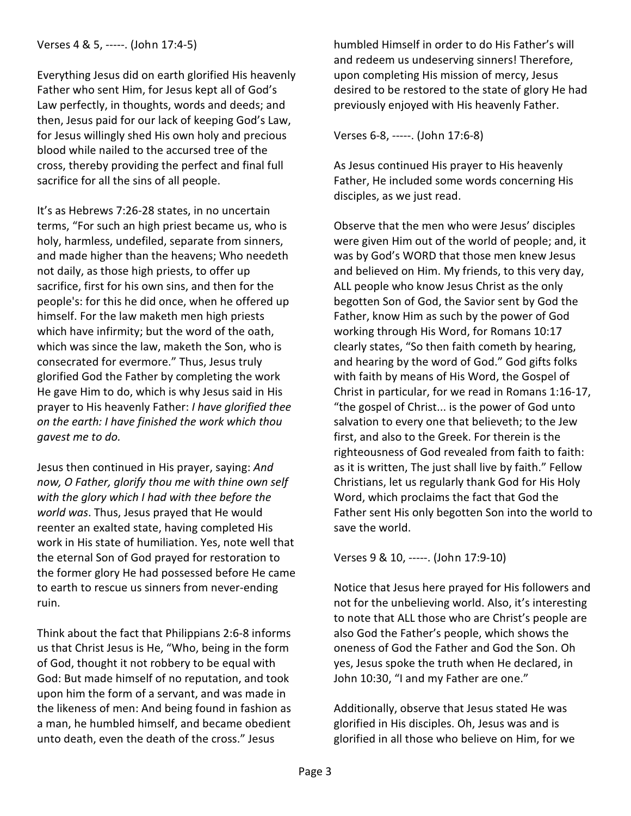Everything Jesus did on earth glorified His heavenly Father who sent Him, for Jesus kept all of God's Law perfectly, in thoughts, words and deeds; and then, Jesus paid for our lack of keeping God's Law, for Jesus willingly shed His own holy and precious blood while nailed to the accursed tree of the cross, thereby providing the perfect and final full sacrifice for all the sins of all people.

It's as Hebrews 7:26-28 states, in no uncertain terms, "For such an high priest became us, who is holy, harmless, undefiled, separate from sinners, and made higher than the heavens; Who needeth not daily, as those high priests, to offer up sacrifice, first for his own sins, and then for the people's: for this he did once, when he offered up himself. For the law maketh men high priests which have infirmity; but the word of the oath, which was since the law, maketh the Son, who is consecrated for evermore." Thus, Jesus truly glorified God the Father by completing the work He gave Him to do, which is why Jesus said in His prayer to His heavenly Father: *I have glorified thee on the earth: I have finished the work which thou gavest me to do.*

Jesus then continued in His prayer, saying: *And now, O Father, glorify thou me with thine own self with the glory which I had with thee before the world was*. Thus, Jesus prayed that He would reenter an exalted state, having completed His work in His state of humiliation. Yes, note well that the eternal Son of God prayed for restoration to the former glory He had possessed before He came to earth to rescue us sinners from never-ending ruin.

Think about the fact that Philippians 2:6-8 informs us that Christ Jesus is He, "Who, being in the form of God, thought it not robbery to be equal with God: But made himself of no reputation, and took upon him the form of a servant, and was made in the likeness of men: And being found in fashion as a man, he humbled himself, and became obedient unto death, even the death of the cross." Jesus

humbled Himself in order to do His Father's will and redeem us undeserving sinners! Therefore, upon completing His mission of mercy, Jesus desired to be restored to the state of glory He had previously enjoyed with His heavenly Father.

Verses 6-8, -----. (John 17:6-8)

As Jesus continued His prayer to His heavenly Father, He included some words concerning His disciples, as we just read.

Observe that the men who were Jesus' disciples were given Him out of the world of people; and, it was by God's WORD that those men knew Jesus and believed on Him. My friends, to this very day, ALL people who know Jesus Christ as the only begotten Son of God, the Savior sent by God the Father, know Him as such by the power of God working through His Word, for Romans 10:17 clearly states, "So then faith cometh by hearing, and hearing by the word of God." God gifts folks with faith by means of His Word, the Gospel of Christ in particular, for we read in Romans 1:16-17, "the gospel of Christ... is the power of God unto salvation to every one that believeth; to the Jew first, and also to the Greek. For therein is the righteousness of God revealed from faith to faith: as it is written, The just shall live by faith." Fellow Christians, let us regularly thank God for His Holy Word, which proclaims the fact that God the Father sent His only begotten Son into the world to save the world.

Verses 9 & 10, -----. (John 17:9-10)

Notice that Jesus here prayed for His followers and not for the unbelieving world. Also, it's interesting to note that ALL those who are Christ's people are also God the Father's people, which shows the oneness of God the Father and God the Son. Oh yes, Jesus spoke the truth when He declared, in John 10:30, "I and my Father are one."

Additionally, observe that Jesus stated He was glorified in His disciples. Oh, Jesus was and is glorified in all those who believe on Him, for we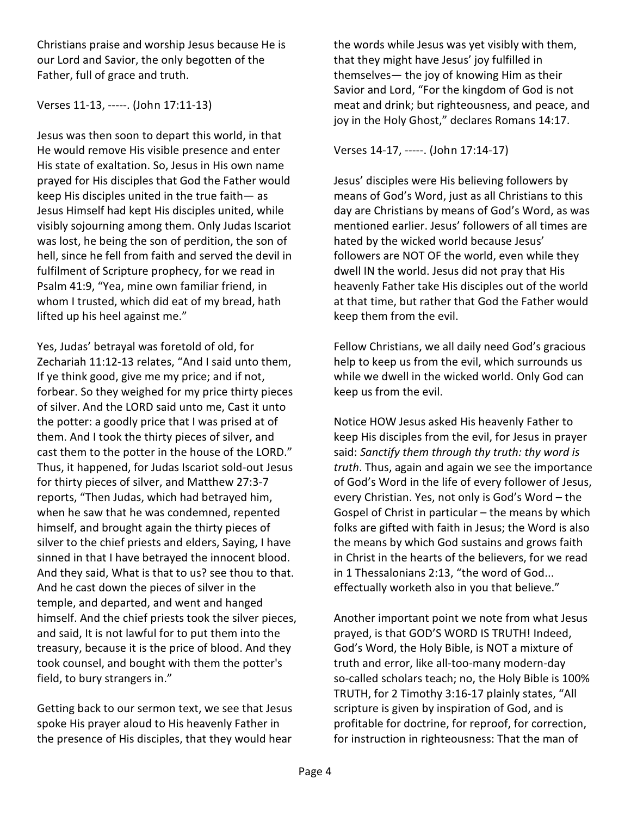Christians praise and worship Jesus because He is our Lord and Savior, the only begotten of the Father, full of grace and truth.

## Verses 11-13, -----. (John 17:11-13)

Jesus was then soon to depart this world, in that He would remove His visible presence and enter His state of exaltation. So, Jesus in His own name prayed for His disciples that God the Father would keep His disciples united in the true faith— as Jesus Himself had kept His disciples united, while visibly sojourning among them. Only Judas Iscariot was lost, he being the son of perdition, the son of hell, since he fell from faith and served the devil in fulfilment of Scripture prophecy, for we read in Psalm 41:9, "Yea, mine own familiar friend, in whom I trusted, which did eat of my bread, hath lifted up his heel against me."

Yes, Judas' betrayal was foretold of old, for Zechariah 11:12-13 relates, "And I said unto them, If ye think good, give me my price; and if not, forbear. So they weighed for my price thirty pieces of silver. And the LORD said unto me, Cast it unto the potter: a goodly price that I was prised at of them. And I took the thirty pieces of silver, and cast them to the potter in the house of the LORD." Thus, it happened, for Judas Iscariot sold-out Jesus for thirty pieces of silver, and Matthew 27:3-7 reports, "Then Judas, which had betrayed him, when he saw that he was condemned, repented himself, and brought again the thirty pieces of silver to the chief priests and elders, Saying, I have sinned in that I have betrayed the innocent blood. And they said, What is that to us? see thou to that. And he cast down the pieces of silver in the temple, and departed, and went and hanged himself. And the chief priests took the silver pieces, and said, It is not lawful for to put them into the treasury, because it is the price of blood. And they took counsel, and bought with them the potter's field, to bury strangers in."

Getting back to our sermon text, we see that Jesus spoke His prayer aloud to His heavenly Father in the presence of His disciples, that they would hear

the words while Jesus was yet visibly with them, that they might have Jesus' joy fulfilled in themselves— the joy of knowing Him as their Savior and Lord, "For the kingdom of God is not meat and drink; but righteousness, and peace, and joy in the Holy Ghost," declares Romans 14:17.

Verses 14-17, -----. (John 17:14-17)

Jesus' disciples were His believing followers by means of God's Word, just as all Christians to this day are Christians by means of God's Word, as was mentioned earlier. Jesus' followers of all times are hated by the wicked world because Jesus' followers are NOT OF the world, even while they dwell IN the world. Jesus did not pray that His heavenly Father take His disciples out of the world at that time, but rather that God the Father would keep them from the evil.

Fellow Christians, we all daily need God's gracious help to keep us from the evil, which surrounds us while we dwell in the wicked world. Only God can keep us from the evil.

Notice HOW Jesus asked His heavenly Father to keep His disciples from the evil, for Jesus in prayer said: *Sanctify them through thy truth: thy word is truth*. Thus, again and again we see the importance of God's Word in the life of every follower of Jesus, every Christian. Yes, not only is God's Word – the Gospel of Christ in particular – the means by which folks are gifted with faith in Jesus; the Word is also the means by which God sustains and grows faith in Christ in the hearts of the believers, for we read in 1 Thessalonians 2:13, "the word of God... effectually worketh also in you that believe."

Another important point we note from what Jesus prayed, is that GOD'S WORD IS TRUTH! Indeed, God's Word, the Holy Bible, is NOT a mixture of truth and error, like all-too-many modern-day so-called scholars teach; no, the Holy Bible is 100% TRUTH, for 2 Timothy 3:16-17 plainly states, "All scripture is given by inspiration of God, and is profitable for doctrine, for reproof, for correction, for instruction in righteousness: That the man of